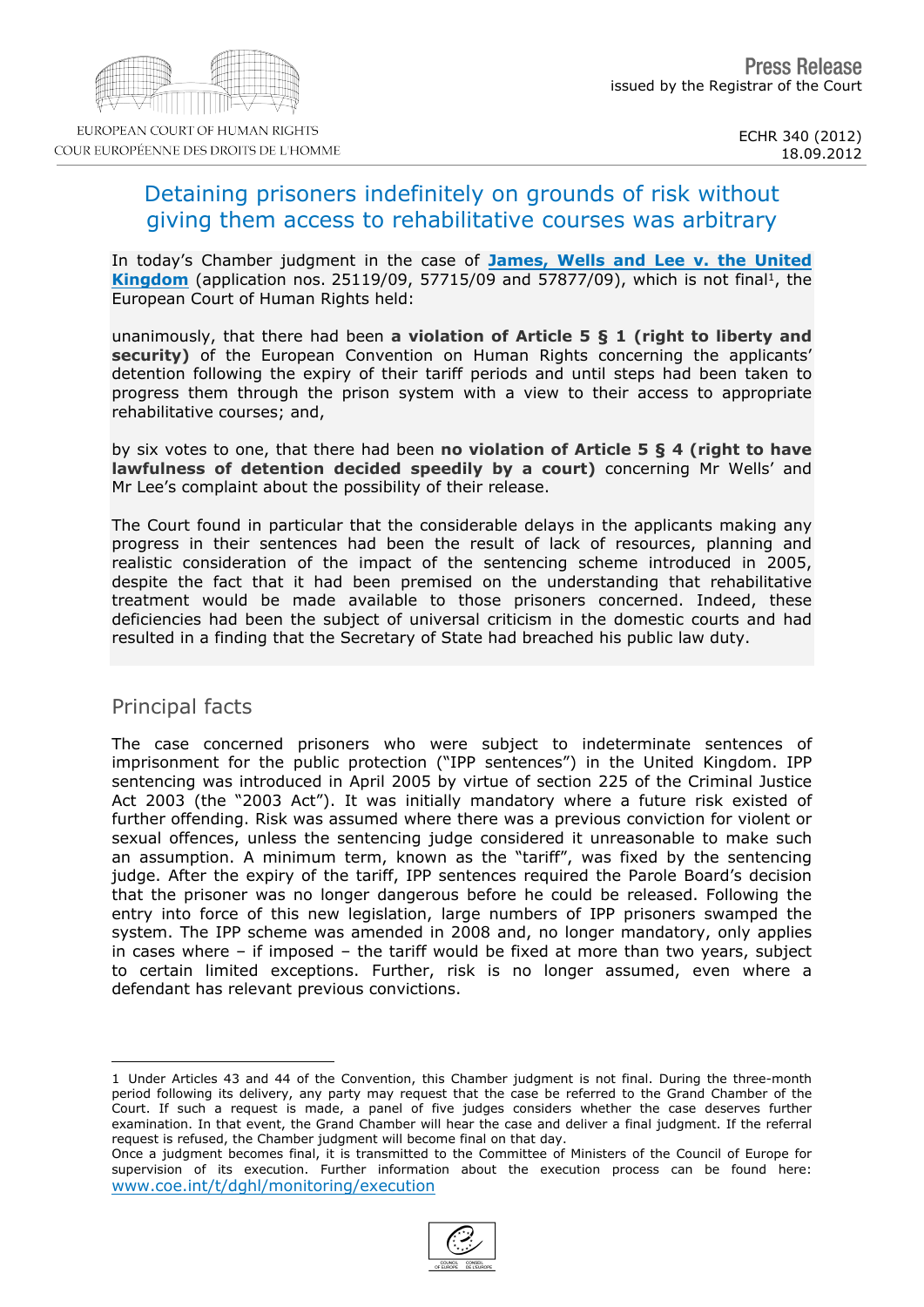# Detaining prisoners indefinitely on grounds of risk without giving them access to rehabilitative courses was arbitrary

In today's Chamber judgment in the case of [James,](http://hudoc.echr.coe.int/sites/eng/pages/search.aspx?i=001-113127) [Wells](http://hudoc.echr.coe.int/sites/eng/pages/search.aspx?i=001-113127) [and](http://hudoc.echr.coe.int/sites/eng/pages/search.aspx?i=001-113127) [Lee](http://hudoc.echr.coe.int/sites/eng/pages/search.aspx?i=001-113127) [v.](http://hudoc.echr.coe.int/sites/eng/pages/search.aspx?i=001-113127) [the](http://hudoc.echr.coe.int/sites/eng/pages/search.aspx?i=001-113127) [United](http://hudoc.echr.coe.int/sites/eng/pages/search.aspx?i=001-113127)<br>Kingdom (application nos. 25119/09, 57715/09 and 57877/09), which is not final <sup>1</sup>, the [Kingdom](http://hudoc.echr.coe.int/sites/eng/pages/search.aspx?i=001-113127) (application nos. 25119/09,  $57715/09$  and  $57877/09$ ), which is not final 1, the European Court of Human Rights held:

unanimously, that there had been a violation of Article  $5 \tS 1$  (right to liberty and security) of the European Convention on Human Rights concerning the applicants' detention following the expiry of their tariff periods and until steps had been taken to progress them through the prison system with a view to their access to appropriate rehabilitative courses; and,

by six votes to one, that there had been no violation of Article  $5 \S 4$  (right to have lawfulness of detention decided speedily by a court) concerning Mr Wells' and Mr Lee's complaint about the possibility of their release.

The Court found in particular that the considerable delays in the applicants making any progress in their sentences had been the result of lack of resources, planning and realistic consideration of the impact of the sentencing scheme introduced in 2005, despite the fact that it had been premised on the understanding that rehabilitative treatment would be made available to those prisoners concerned. Indeed, these deficiencies had been the subject of universal criticism in the domestic courts and had resulted in a finding that the Secretary of State had breached his public law duty.

### Principal facts

The case concerned prisoners who were subject to indeterminate sentences of imprisonment for the public protection ("IPP sentences") in the United Kingdom. IPP sentencing was introduced in April 2005 by virtue of section 225 of the Criminal Justice Act 2003 (the "2003 Act"). It was initially mandatory where a future risk existed of further offending. Risk was assumed where there was a previous conviction for violent or sexual offences, unless the sentencing judge considered it unreasonable to make such an assumption. A minimum term, known as the "tariff", was fixed by the sentencing judge. After the expiry of the tariff, IPP sentences required the Parole Board's decision that the prisoner was no longer dangerous before he could be released. Following the entry into force of this new legislation, large numbers of IPP prisoners swamped the system. The IPP scheme was amended in 2008 and, no longer mandatory, only applies in cases where  $-$  if imposed  $-$  the tariff would be fixed at more than two years, subject to certain limited exceptions. Further, risk is no longer assumed, even where a defendant has relevant previous convictions.

<sup>1</sup> Under Articles 43 and 44 of the Convention, this Chamber judgment is not final. During the three-month period following its delivery, any party may request that the case be referred to the Grand Chamber of the Court. If such a request is made, a panel of five judges considers whether the case deserves further examination. In that event, the Grand Chamber will hear the case and deliver a final judgment. If the referral request is refused, the Chamber judgment will become final on that day.

Once a judgment becomes final, it is transmitted to the Committee of Ministers of the Council of Europe for supervision of its execution. Further information about the execution process can be found here: [www.coe.int/t/dghl/monitoring/execution](http://www.coe.int/t/dghl/monitoring/execution)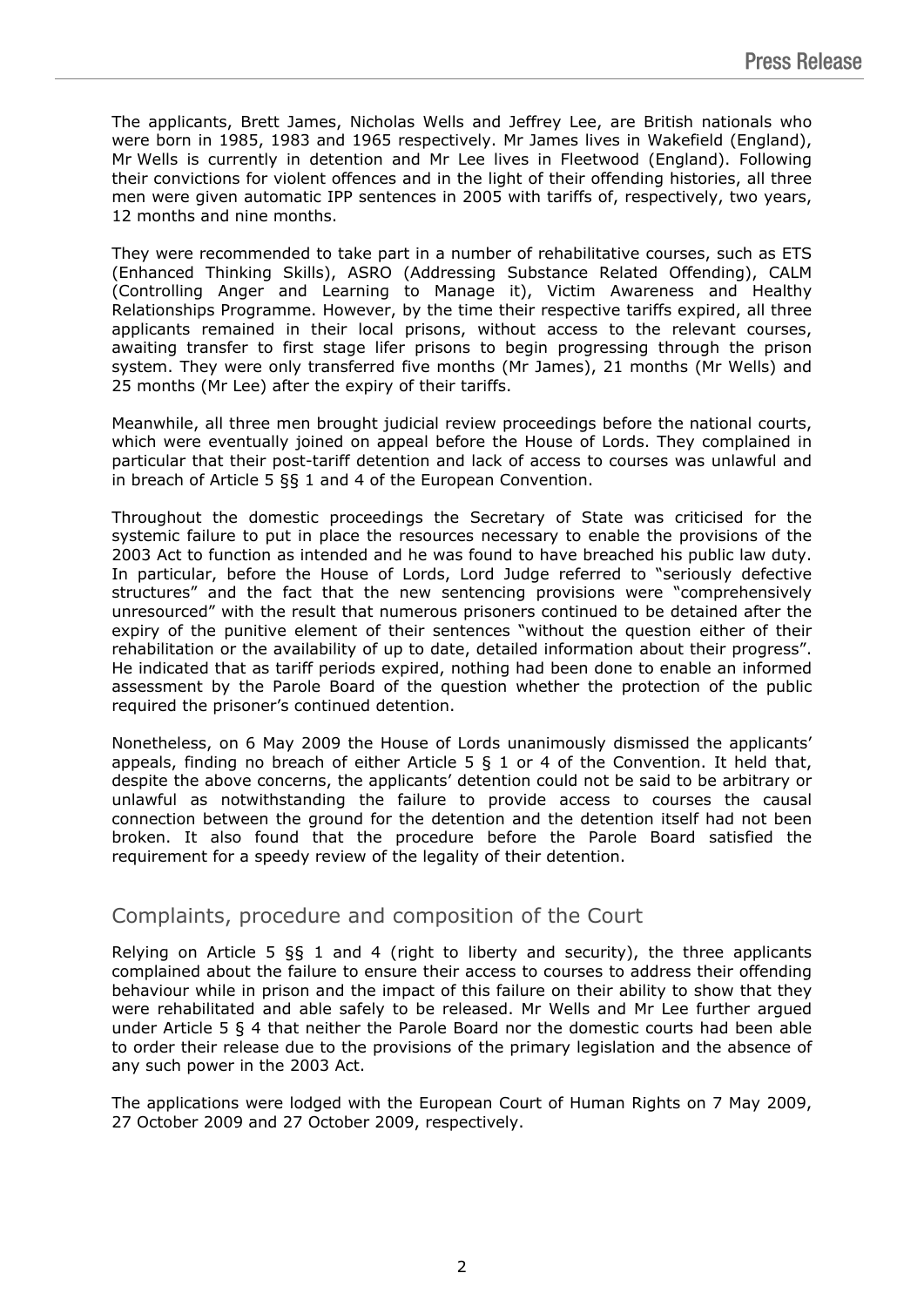The applicants, Brett James, Nicholas Wells and Jeffrey Lee, are British nationals who were born in 1985, 1983 and 1965 respectively. Mr James lives in Wakefield (England), Mr Wells is currently in detention and Mr Lee lives in Fleetwood (England). Following their convictions for violent offences and in the light of their offending histories, all three men were given automatic IPP sentences in 2005 with tariffs of, respectively, two years, 12 months and nine months.

They were recommended to take part in a number of rehabilitative courses, such as ETS (Enhanced Thinking Skills), ASRO (Addressing Substance Related Offending), CALM (Controlling Anger and Learning to Manage it), Victim Awareness and Healthy Relationships Programme. However, by the time their respective tariffs expired, all three applicants remained in their local prisons, without access to the relevant courses, awaiting transfer to first stage lifer prisons to begin progressing through the prison system. They were only transferred five months (Mr James), 21 months (Mr Wells) and 25 months (Mr Lee) after the expiry of their tariffs.

Meanwhile, all three men brought judicial review proceedings before the national courts, which were eventually joined on appeal before the House of Lords. They complained in particular that their post-tariff detention and lack of access to courses was unlawful and in breach of Article 5 §§ 1 and 4 of the European Convention.

Throughout the domestic proceedings the Secretary of State was criticised for the systemic failure to put in place the resources necessary to enable the provisions of the 2003 Act to function as intended and he was found to have breached his public law duty. In particular, before the House of Lords, Lord Judge referred to "seriously defective structures" and the fact that the new sentencing provisions were "comprehensively unresourced" with the result that numerous prisoners continued to be detained after the expiry of the punitive element of their sentences "without the question either of their rehabilitation or the availability of up to date, detailed information about their progress". He indicated that as tariff periods expired, nothing had been done to enable an informed assessment by the Parole Board of the question whether the protection of the public required the prisoner's continued detention.

Nonetheless, on 6 May 2009 the House of Lords unanimously dismissed the applicants' appeals, finding no breach of either Article 5 § 1 or 4 of the Convention. It held that, despite the above concerns, the applicants' detention could not be said to be arbitrary or unlawful as notwithstanding the failure to provide access to courses the causal connection between the ground for the detention and the detention itself had not been broken. It also found that the procedure before the Parole Board satisfied the requirement for a speedy review of the legality of their detention.

# Complaints, procedure and composition of the Court

Relying on Article 5  $\S$  1 and 4 (right to liberty and security), the three applicants complained about the failure to ensure their access to courses to address their offending behaviour while in prison and the impact of this failure on their ability to show that they were rehabilitated and able safely to be released. Mr Wells and Mr Lee further argued under Article 5 § 4 that neither the Parole Board nor the domestic courts had been able to order their release due to the provisions of the primary legislation and the absence of any such power in the 2003 Act.

The applications were lodged with the European Court of Human Rights on 7 May 2009, 27 October 2009 and 27 October 2009, respectively.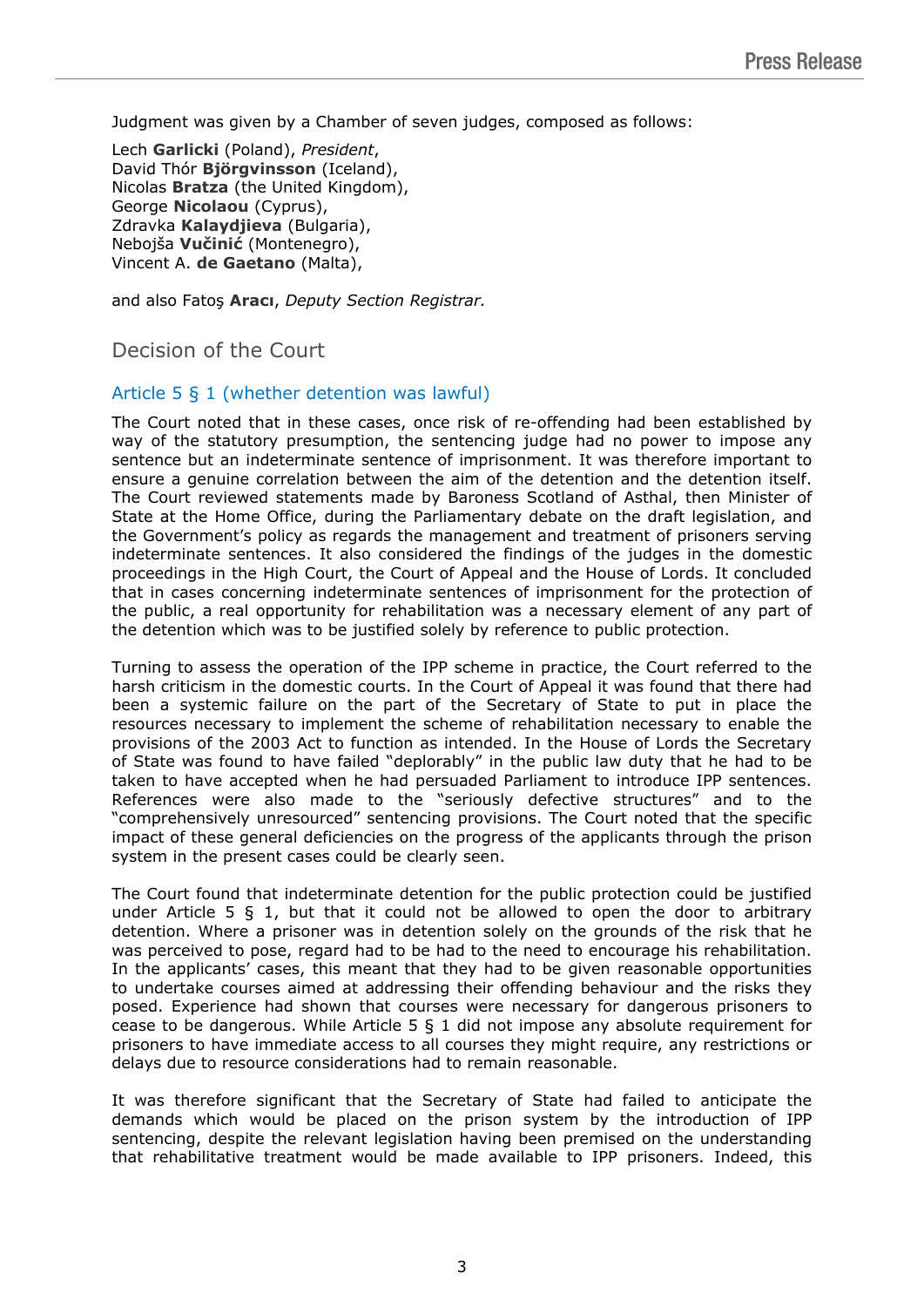Judgment was given by a Chamber of seven judges, composed as follows:

Lech **Garlicki** (Poland), *President*, David Thór **Björgvinsson** (Iceland), Nicolas **Bratza** (the United Kingdom), George **Nicolaou** (Cyprus), Zdravka **Kalaydjieva** (Bulgaria), Nebojša **Vučinić** (Montenegro), Vincent A. **de Gaetano** (Malta),

and also Fatoş **Aracı**, *Deputy Section Registrar.*

# Decision of the Court

#### Article 5 § 1 (whether detention was lawful)

The Court noted that in these cases, once risk of re-offending had been established by way of the statutory presumption, the sentencing judge had no power to impose any sentence but an indeterminate sentence of imprisonment. It was therefore important to ensure a genuine correlation between the aim of the detention and the detention itself. The Court reviewed statements made by Baroness Scotland of Asthal, then Minister of State at the Home Office, during the Parliamentary debate on the draft legislation, and the Government's policy as regards the management and treatment of prisoners serving indeterminate sentences. It also considered the findings of the judges in the domestic proceedings in the High Court, the Court of Appeal and the House of Lords. It concluded that in cases concerning indeterminate sentences of imprisonment for the protection of the public, a real opportunity for rehabilitation was a necessary element of any part of the detention which was to be justified solely by reference to public protection.

Turning to assess the operation of the IPP scheme in practice, the Court referred to the harsh criticism in the domestic courts. In the Court of Appeal it was found that there had been a systemic failure on the part of the Secretary of State to put in place the resources necessary to implement the scheme of rehabilitation necessary to enable the provisions of the 2003 Act to function as intended. In the House of Lords the Secretary of State was found to have failed "deplorably" in the public law duty that he had to be taken to have accepted when he had persuaded Parliament to introduce IPP sentences. References were also made to the "seriously defective structures" and to the "comprehensively unresourced" sentencing provisions. The Court noted that the specific impact of these general deficiencies on the progress of the applicants through the prison system in the present cases could be clearly seen.

The Court found that indeterminate detention for the public protection could be justified under Article 5 § 1, but that it could not be allowed to open the door to arbitrary detention. Where a prisoner was in detention solely on the grounds of the risk that he was perceived to pose, regard had to be had to the need to encourage his rehabilitation. In the applicants' cases, this meant that they had to be given reasonable opportunities to undertake courses aimed at addressing their offending behaviour and the risks they posed. Experience had shown that courses were necessary for dangerous prisoners to cease to be dangerous. While Article 5  $\S$  1 did not impose any absolute requirement for prisoners to have immediate access to all courses they might require, any restrictions or delays due to resource considerations had to remain reasonable.

It was therefore significant that the Secretary of State had failed to anticipate the demands which would be placed on the prison system by the introduction of IPP sentencing, despite the relevant legislation having been premised on the understanding that rehabilitative treatment would be made available to IPP prisoners. Indeed, this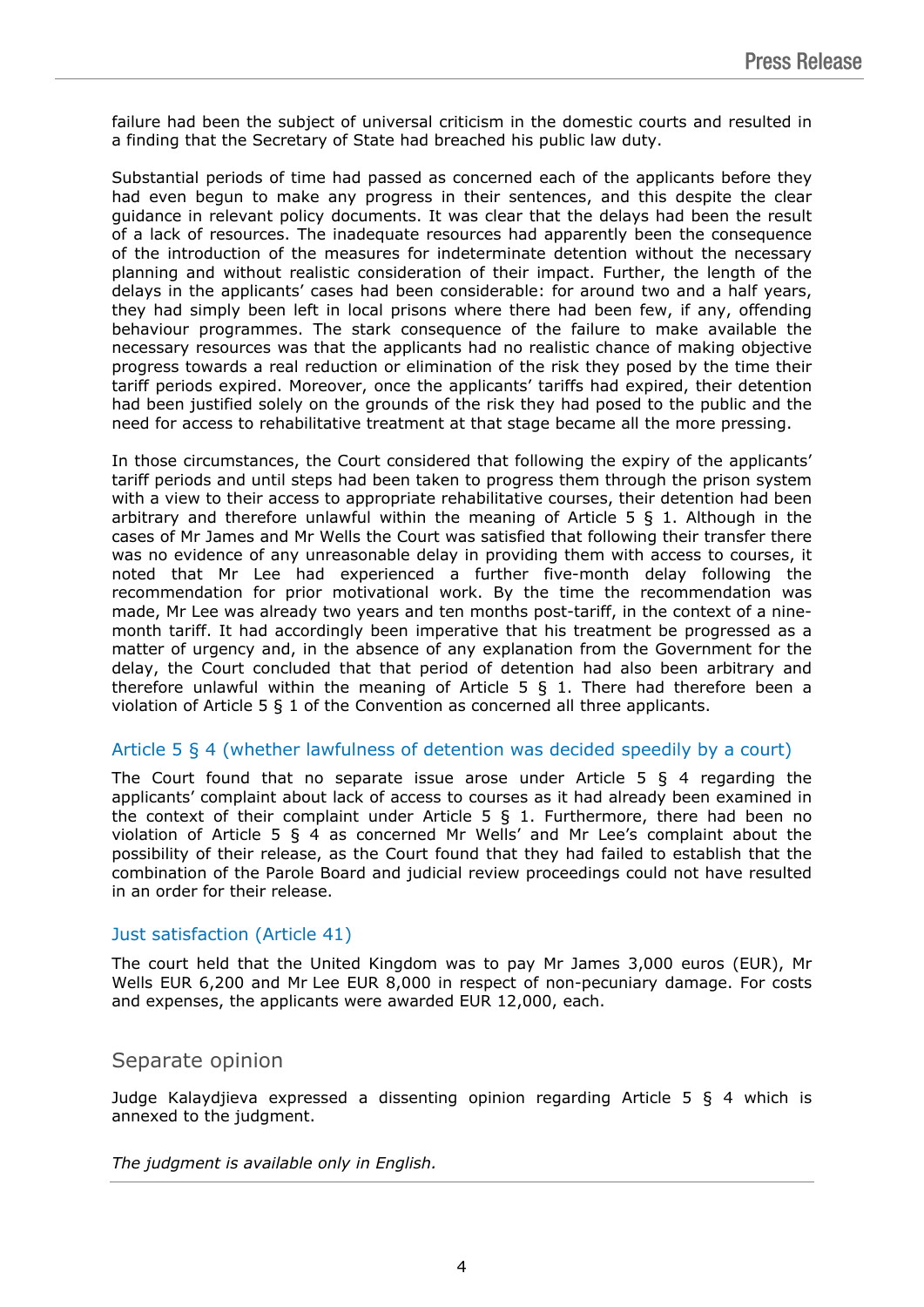failure had been the subject of universal criticism in the domestic courts and resulted in a finding that the Secretary of State had breached his public law duty.

Substantial periods of time had passed as concerned each of the applicants before they had even begun to make any progress in their sentences, and this despite the clear guidance in relevant policy documents. It was clear that the delays had been the result of a lack of resources. The inadequate resources had apparently been the consequence of the introduction of the measures for indeterminate detention without the necessary planning and without realistic consideration of their impact. Further, the length of the delays in the applicants' cases had been considerable: for around two and a half years, they had simply been left in local prisons where there had been few, if any, offending behaviour programmes. The stark consequence of the failure to make available the necessary resources was that the applicants had no realistic chance of making objective progress towards a real reduction or elimination of the risk they posed by the time their tariff periods expired. Moreover, once the applicants' tariffs had expired, their detention had been justified solely on the grounds of the risk they had posed to the public and the need for access to rehabilitative treatment at that stage became all the more pressing.

In those circumstances, the Court considered that following the expiry of the applicants' tariff periods and until steps had been taken to progress them through the prison system with a view to their access to appropriate rehabilitative courses, their detention had been arbitrary and therefore unlawful within the meaning of Article  $5 \xi$  1. Although in the cases of Mr James and Mr Wells the Court was satisfied that following their transfer there was no evidence of any unreasonable delay in providing them with access to courses, it noted that Mr Lee had experienced a further five-month delay following the recommendation for prior motivational work. By the time the recommendation was made, Mr Lee was already two years and ten months post-tariff, in the context of a ninemonth tariff. It had accordingly been imperative that his treatment be progressed as a matter of urgency and, in the absence of any explanation from the Government for the delay, the Court concluded that that period of detention had also been arbitrary and therefore unlawful within the meaning of Article 5  $\S$  1. There had therefore been a violation of Article 5 § 1 of the Convention as concerned all three applicants.

### Article 5 § 4 (whether lawfulness of detention was decided speedily by a court)

The Court found that no separate issue arose under Article  $5\,$   $\,$   $\,$  4 regarding the applicants' complaint about lack of access to courses as it had already been examined in the context of their complaint under Article 5  $\S$  1. Furthermore, there had been no violation of Article 5 § 4 as concerned Mr Wells' and Mr Lee's complaint about the possibility of their release, as the Court found that they had failed to establish that the combination of the Parole Board and judicial review proceedings could not have resulted in an order for their release.

### Just satisfaction (Article 41)

The court held that the United Kingdom was to pay Mr James 3,000 euros (EUR), Mr Wells EUR 6,200 and Mr Lee EUR 8,000 in respect of non-pecuniary damage. For costs and expenses, the applicants were awarded EUR 12,000, each.

## Separate opinion

Judge Kalaydjieva expressed a dissenting opinion regarding Article 5 § 4 which is annexed to the judgment.

*The judgment is available only in English.*